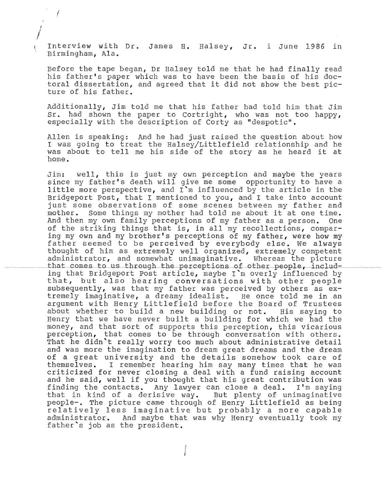Interview with Dr. James H. Halsey, Jr. i June 1986 in Birmingham, Ala.

ł.

Before the tape began, Dr Halsey told me that he had finally read his father's paper which was to have been the basis of his doctoral dissertation, and agreed that it did not show the best ture of his father.

Additionally, Jim told me that his father had told him that Jim Sr. had shown the paper to Cortright, who was not too happy, especially with the description of Corty as "despotic".

Allen is speaking: And he had just raised the question I was going to treat the Halsey/Littlefield relationshi I was going to treat the haisey/fittiefieid relationshi<br>was about to tell me his side of the story as he hear home.

Jim: well, this is just my own perception and maybe the years since my father's death will give me some opportunity to have a little more perspective, and  $I^m$  influenced by the article in the Bridgeport Post, that I mentioned to you, and I take into account just some observations of some scenes between my father and mother. Some things my mother had told me about it at one time. Some things my mother had told me about it at one time.<br>I my own family perceptions of my father as a person. One And then my own family perceptions of my father as a person. of the striking things that is, in all my recollections, comparing my own and my brother's perceptions of my father, were how my father seemed to be perceived by everybody else. We always thought of him as extremely well organized, extremely competent administrator, and somewhat unimaginative. Whereas the picture that comes to us through the perceptions of other people, including that Bridgeport Post article, maybe I'm overly influenced by that, but also hearing conversations with other people subsequently, was that my father was perceived by others as extremely imaginative, a dreamy idealist. He once told me in an argument with Henry Littlefield before the Board of Trustees<br>about whether to build a new building or not. His saying to about whether to build a new building or not. His saying to<br>Henry that we have never built a building for which we had the money, and that sort of supports this perception, this vicarious perception, that comes to be through conversation with others. That he didn't really worry too much about administrative detail and was more the imagination to dream great dreams and the dream and was more ene imagination to aream great dicams and the dicamthemselves. I remember hearing him say many times that he was criticized for never closing a deal with a fund raising account and he said, well if you thought that his great contribution was finding the contacts. Any lawyer can close a deal. I'm saying<br>that in kind of a derisive way. But plenty of unimaginative that in kind of a derisive way. people-. The picture came through of Henry Littlefield as being relatively less imaginative but probably a more capable administrator. And maybe that was why Henry eventually took my father's job as the president.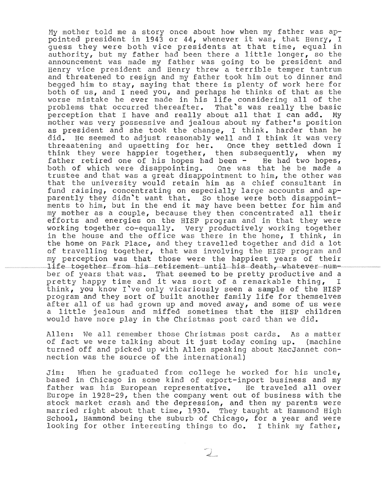My mother told me a story once about how when my father was appointed president in 1943 or 44, whenever it was, that Henry, I guess they were both vice presidents at that time, equal in authority, but my father had been there a little longer, so the announcement was made my father was going to be president and Henry vice president and Henry threw a terrible temper t and threatened to resign and my father took him out to dinner begged him to stay, saying that there is plenty of work here for both of us, and I need you, and perhaps he thinks of that as the worse mistake he ever made in his life considering all of the problems that occurred thereafter. That's was really the basic<br>perception that I have and really about all that I can add. My perception that I have and really about all that I can add. mother was very possessive and jealous about my father's position as president and she took the change, I think. harder than he did. He seemed to adjust reasonably well and I think it was very He seemed to adjust reasonably well and I think it was very threaatening and upsetting for her. Once they settled down I think they were happier together, then subsequently, when my father retired one of his hopes had been - He had two hopes,<br>both of which were disappointing. One was that he be made a both of which were disappointing. trustee and that was a great disappointment to him, the other was that the university would retain him as a chief consultant in fund raising, concentrating on especially large accounts and apparently they didn't want that. So those were both disappointments to him, but in the end it may have been better for him and my mother as a couple, because they then concentrated all their efforts and energies on the HISP program and in they were working together co-equally. Very productively working together in the house and the office was there in the home, I think, in the home on Park Place, and they travelled together and did a lot of travelling together, that was involving the HISP program and my perception was that those were the happiest years of their life together from his retirement until his death, whatever number of years that was. That seemed to be pretty productive and a<br>pretty happy time and it was sort of a remarkable thing, I pretty happy time and it was sort of a remarkable thing, think, you know I've only vicariously seen a sample of the HISP program and they sort of built another family life for themselves after all of us had grown up and moved away, and some of us were a little jealous and miffed sometimes that the HISP children would have more play in the Christmas post card than we did.

Allen: We all remember those Christmas post cards. As Allen: We all Lemenber those Christmas post cards,<br>of fact we were talking about it just today coming (machine) turned off and picked up with Allen speaking about MacJannet connection was the source of the international)

Jim: When he graduated from college he worked for his uncle, based in Chicago in some kind of export-inport business and my father was his European representative. He traveled all over Europe in  $1928-29$ , then the company went out of business with the stock market crash and the depression, and then my parents were married right about that time, 1930. They taught at Hammond High School, Hammond being the suburb of Chicago, for a year and were looking for other interesting things to do. I think my father,

 $\mathbb{Q}_-$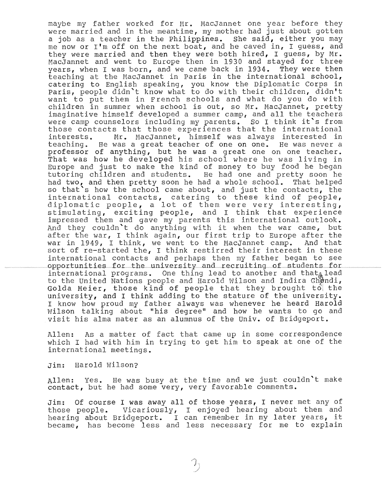maybe my father worked for Mr. MacJannet one year before they were married and in the meantime, my mother had just about gotten a job as a teacher in the Philippines. She said, either you may me now or I'm off on the next boat, and he caved in, I guess, and they were married and then they were both hired, I guess, by Mr. MacJannet and went to Europe then in 1930 and stayed for three years, when I was born, and we came back in 1934. They were then teaching at the MacJannet in Paris in the international school, catering to English speaking, you know the Diplomatic Corps in paris, people didn't know what to do with their children, didn't want to put them in French schools and what do you do with children in summer when school is out, so Mr. MacJannet, pretty imaginative himself developed a summer camp, and all the teachers were camp counselors including my parents. So I think it's from those contacts that those experiences that the international<br>interests. Mr. MacJannet, himself was always interested in Mr. MacJannet, himself was always interested in teaching. He was a great teacher of one on one. He was never a professor of anything, but he was a great one on one teacher. That was how he developed his school where he was living in Europe and just to make the kind of money to buy food he began tutoring children and students. He had one and pretty soon he had two, and then pretty soon he had a whole school. That helped not the limit of the school came about, and just the contacts, the international contacts, catering to these kind of people, diplomatic people, a lot of them were very interesting, stimulating, exciting people, and I think that experience impressed them and gave my parents this international outlook. And they couldn't do anything with it when the war came, but after the war, I think again, our first trip to Europe after the<br>war in 1949, I think, we went to the MacJannet camp. And that war in 1949, I think, we went to the MacJannet camp. sort of re-started the, I think restirred their interest in these international contacts and perhaps then my father began to see<br>opportunities for the university and recruiting of students for international programs. One thing lead to another and that $_{\mathbb{A}}$  lead to the United Nations people and Harold Wilson and Indira Ghandi, Golda Meier, those kind of people that they brought to the university, and I think adding to the stature of the university. I know how proud my father always was whenever he heard Harold Wilson talking about "his degree" and how he wants to go and visit his alma mater as an alumnus of the Univ. of Bridgeport.

Allen: As a matter of fact that came up in some correspondence which I had with him in trying to get him to speak at one of the international meetings.

Jim: Harold Wilson?

Allen: Yes. He was busy at the time and we just couldn't make contact, but he had some very, very favorable comments.

Jim: Of course I was away all of those years, I never met any of those people. Vicariously, I enjoyed hearing about them and se people. Vicariously, I enjoyed hearing about them and<br>ring about Bridgeport. I can remember in my later years, it  $became$ , has become less and less necessary for me to explain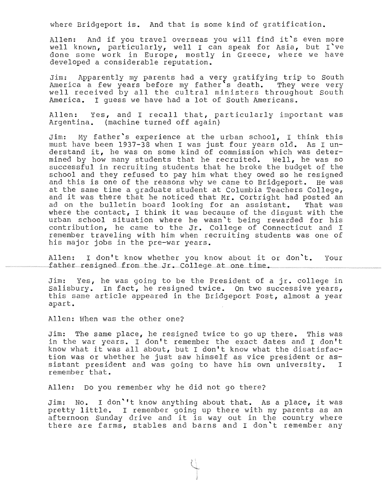where Bridgeport is. And that is some kind of gratification.

Allen: And if you travel overseas you will find it's even more well known, particularly, well I can speak for Asia, but I've done some work in Europe, mostly in Greece, where we have developed a considerable reputation.

Jim: Apparently my parents had a very gratifying trip to South America a few years before my father's death. They were ver well received by all the cultral ministers throughout South America. I quess we have had a lot of South Americans.

Allen: Yes, and I recall that, particularly important was Argentina. (machine turned off again)

Jim: My father's experience at the urban school, I think this<br>must have been 1937-38 when I was just four vears old. As I unmust have been 1937-38 when I was just four years old. derstand it, he was on some kind of commission which was determined by how many students that he recruited. Well, he was so successful in recruiting students that he broke the budget of the school and they refused to pay him what they owed so he resigned and this is one of the reasons why we came to Bridgeport. He was at the same time a graduate student at Columbia Teachers College, and it was there that he noticed that Mr. Cortright had posted an<br>ad on the bulletin board looking for an assistant. That was ad on the bulletin board looking for an assistant. where the contact, I think it was because of the disqust with the urban school situation where he wasn't being rewarded for his contribution, he came to the Jr. College of Connecticut and I remember traveling with him when recruiting students was one of his major jobs in the pre-war years.

I don't know whether you know about it or don't. Allen: Your father resigned from the Jr. College at one time.

Jim: Yes, he was going to be the President of a jr. college salisbury. In fact, he resigned twice. On two successive years, buristary. In the *restynce throw.* On the bucocostic years, apart.

Allen: When was the other one?

Jim: The same place, he resigned twice to go up there. This was in the war years. I don't remember the exact dates and I don't know what it was all about, but I don't know what the disatisfaction was or whether he just saw himself as vice president or assistant president and was going to have his own university. I remember that.

Allen: Do you remember why he did not go there?

Jim: No. I don''t know anything about that. As a place, it was pretty little. I remember going up there with my parents as an afternoon Sunday drive and it is way out in the country where there are farms, stables and barns and I don't remember any